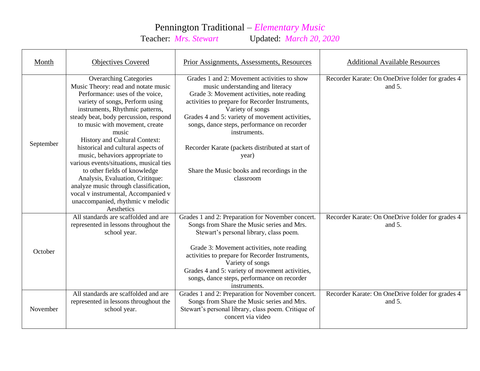## Pennington Traditional – *Elementary Music*<br>Teacher: *Mrs. Stewart* Updated: *March 20, 2*

Updated: *March 20, 2020* 

| Month     | <b>Objectives Covered</b>                                                                                                                                                                                                                                                                                                                                                                                                                                                                                                                                                                                                     | Prior Assignments, Assessments, Resources                                                                                                                                                                                                                                                                                                                                                                                                       | <b>Additional Available Resources</b>                         |
|-----------|-------------------------------------------------------------------------------------------------------------------------------------------------------------------------------------------------------------------------------------------------------------------------------------------------------------------------------------------------------------------------------------------------------------------------------------------------------------------------------------------------------------------------------------------------------------------------------------------------------------------------------|-------------------------------------------------------------------------------------------------------------------------------------------------------------------------------------------------------------------------------------------------------------------------------------------------------------------------------------------------------------------------------------------------------------------------------------------------|---------------------------------------------------------------|
| September | <b>Overarching Categories</b><br>Music Theory: read and notate music<br>Performance: uses of the voice,<br>variety of songs, Perform using<br>instruments, Rhythmic patterns,<br>steady beat, body percussion, respond<br>to music with movement, create<br>music<br>History and Cultural Context:<br>historical and cultural aspects of<br>music, behaviors appropriate to<br>various events/situations, musical ties<br>to other fields of knowledge<br>Analysis, Evaluation, Crititque:<br>analyze music through classification,<br>vocal v instrumental, Accompanied v<br>unaccompanied, rhythmic v melodic<br>Aesthetics | Grades 1 and 2: Movement activities to show<br>music understanding and literacy<br>Grade 3: Movement activities, note reading<br>activities to prepare for Recorder Instruments,<br>Variety of songs<br>Grades 4 and 5: variety of movement activities,<br>songs, dance steps, performance on recorder<br>instruments.<br>Recorder Karate (packets distributed at start of<br>year)<br>Share the Music books and recordings in the<br>classroom | Recorder Karate: On OneDrive folder for grades 4<br>and $5$ . |
| October   | All standards are scaffolded and are<br>represented in lessons throughout the<br>school year.                                                                                                                                                                                                                                                                                                                                                                                                                                                                                                                                 | Grades 1 and 2: Preparation for November concert.<br>Songs from Share the Music series and Mrs.<br>Stewart's personal library, class poem.<br>Grade 3: Movement activities, note reading<br>activities to prepare for Recorder Instruments,<br>Variety of songs<br>Grades 4 and 5: variety of movement activities,<br>songs, dance steps, performance on recorder<br>instruments.                                                               | Recorder Karate: On OneDrive folder for grades 4<br>and $5$ . |
| November  | All standards are scaffolded and are<br>represented in lessons throughout the<br>school year.                                                                                                                                                                                                                                                                                                                                                                                                                                                                                                                                 | Grades 1 and 2: Preparation for November concert.<br>Songs from Share the Music series and Mrs.<br>Stewart's personal library, class poem. Critique of<br>concert via video                                                                                                                                                                                                                                                                     | Recorder Karate: On OneDrive folder for grades 4<br>and 5.    |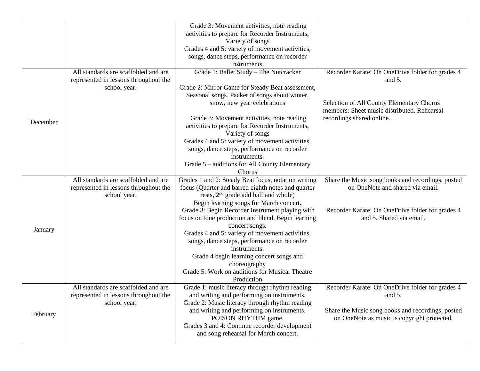|          |                                       | Grade 3: Movement activities, note reading                                                 |                                                   |
|----------|---------------------------------------|--------------------------------------------------------------------------------------------|---------------------------------------------------|
|          |                                       | activities to prepare for Recorder Instruments,                                            |                                                   |
|          |                                       | Variety of songs                                                                           |                                                   |
|          |                                       | Grades 4 and 5: variety of movement activities,                                            |                                                   |
|          |                                       | songs, dance steps, performance on recorder                                                |                                                   |
|          |                                       | instruments.                                                                               |                                                   |
|          | All standards are scaffolded and are  | Grade 1: Ballet Study - The Nutcracker                                                     | Recorder Karate: On OneDrive folder for grades 4  |
|          | represented in lessons throughout the |                                                                                            | and $5$ .                                         |
|          | school year.                          | Grade 2: Mirror Game for Steady Beat assessment,                                           |                                                   |
|          |                                       | Seasonal songs. Packet of songs about winter,                                              |                                                   |
|          |                                       | snow, new year celebrations                                                                | Selection of All County Elementary Chorus         |
|          |                                       |                                                                                            | members: Sheet music distributed. Rehearsal       |
| December |                                       | Grade 3: Movement activities, note reading                                                 | recordings shared online.                         |
|          |                                       | activities to prepare for Recorder Instruments,                                            |                                                   |
|          |                                       | Variety of songs                                                                           |                                                   |
|          |                                       | Grades 4 and 5: variety of movement activities,                                            |                                                   |
|          |                                       | songs, dance steps, performance on recorder                                                |                                                   |
|          |                                       | instruments.                                                                               |                                                   |
|          |                                       | Grade 5 – auditions for All County Elementary                                              |                                                   |
|          |                                       | Chorus                                                                                     |                                                   |
|          | All standards are scaffolded and are  | Grades 1 and 2: Steady Beat focus, notation writing                                        | Share the Music song books and recordings, posted |
|          | represented in lessons throughout the | focus (Quarter and barred eighth notes and quarter                                         | on OneNote and shared via email.                  |
|          | school year.                          | rests, 2 <sup>nd</sup> grade add half and whole)                                           |                                                   |
|          |                                       | Begin learning songs for March concert.<br>Grade 3: Begin Recorder Instrument playing with | Recorder Karate: On OneDrive folder for grades 4  |
|          |                                       | focus on tone production and blend. Begin learning                                         | and 5. Shared via email.                          |
|          |                                       | concert songs.                                                                             |                                                   |
| January  |                                       | Grades 4 and 5: variety of movement activities,                                            |                                                   |
|          |                                       | songs, dance steps, performance on recorder                                                |                                                   |
|          |                                       | instruments.                                                                               |                                                   |
|          |                                       | Grade 4 begin learning concert songs and                                                   |                                                   |
|          |                                       | choreography                                                                               |                                                   |
|          |                                       | Grade 5: Work on auditions for Musical Theatre                                             |                                                   |
|          |                                       | Production                                                                                 |                                                   |
|          | All standards are scaffolded and are  | Grade 1: music literacy through rhythm reading                                             | Recorder Karate: On OneDrive folder for grades 4  |
|          | represented in lessons throughout the | and writing and performing on instruments.                                                 | and $5$ .                                         |
| February | school year.                          | Grade 2: Music literacy through rhythm reading                                             |                                                   |
|          |                                       | and writing and performing on instruments.                                                 | Share the Music song books and recordings, posted |
|          |                                       | POISON RHYTHM game.                                                                        | on OneNote as music is copyright protected.       |
|          |                                       | Grades 3 and 4: Continue recorder development                                              |                                                   |
|          |                                       | and song rehearsal for March concert.                                                      |                                                   |
|          |                                       |                                                                                            |                                                   |